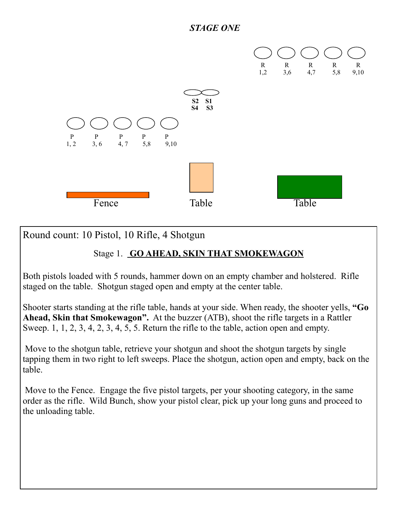#### *STAGE ONE*



Round count: 10 Pistol, 10 Rifle, 4 Shotgun

### Stage 1. **GO AHEAD, SKIN THAT SMOKEWAGON**

Both pistols loaded with 5 rounds, hammer down on an empty chamber and holstered. Rifle staged on the table. Shotgun staged open and empty at the center table.

Shooter starts standing at the rifle table, hands at your side. When ready, the shooter yells, **"Go Ahead, Skin that Smokewagon".** At the buzzer (ATB), shoot the rifle targets in a Rattler Sweep. 1, 1, 2, 3, 4, 2, 3, 4, 5, 5. Return the rifle to the table, action open and empty.

 Move to the shotgun table, retrieve your shotgun and shoot the shotgun targets by single tapping them in two right to left sweeps. Place the shotgun, action open and empty, back on the table.

 Move to the Fence. Engage the five pistol targets, per your shooting category, in the same order as the rifle. Wild Bunch, show your pistol clear, pick up your long guns and proceed to the unloading table.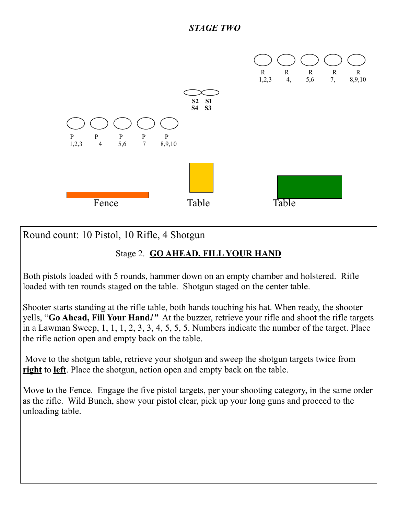

Round count: 10 Pistol, 10 Rifle, 4 Shotgun

## Stage 2. **GO AHEAD, FILL YOUR HAND**

Both pistols loaded with 5 rounds, hammer down on an empty chamber and holstered. Rifle loaded with ten rounds staged on the table. Shotgun staged on the center table.

Shooter starts standing at the rifle table, both hands touching his hat. When ready, the shooter yells, "**Go Ahead, Fill Your Hand***!"* At the buzzer, retrieve your rifle and shoot the rifle targets in a Lawman Sweep, 1, 1, 1, 2, 3, 3, 4, 5, 5, 5. Numbers indicate the number of the target. Place the rifle action open and empty back on the table.

 Move to the shotgun table, retrieve your shotgun and sweep the shotgun targets twice from **right** to **left**. Place the shotgun, action open and empty back on the table.

Move to the Fence. Engage the five pistol targets, per your shooting category, in the same order as the rifle. Wild Bunch, show your pistol clear, pick up your long guns and proceed to the unloading table.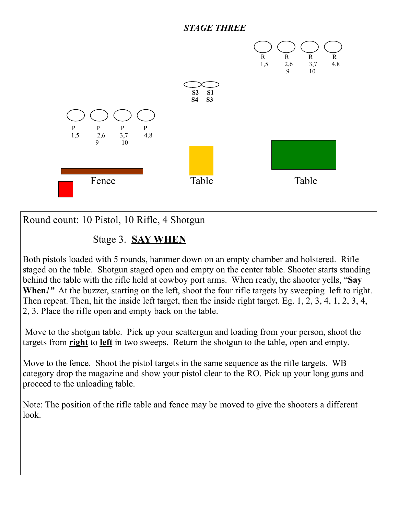#### *STAGE THREE*



Round count: 10 Pistol, 10 Rifle, 4 Shotgun

# Stage 3. **SAY WHEN**

Both pistols loaded with 5 rounds, hammer down on an empty chamber and holstered. Rifle staged on the table. Shotgun staged open and empty on the center table. Shooter starts standing behind the table with the rifle held at cowboy port arms. When ready, the shooter yells, "**Say When***!"* At the buzzer, starting on the left, shoot the four rifle targets by sweeping left to right. Then repeat. Then, hit the inside left target, then the inside right target. Eg. 1, 2, 3, 4, 1, 2, 3, 4, 2, 3. Place the rifle open and empty back on the table.

 Move to the shotgun table. Pick up your scattergun and loading from your person, shoot the targets from **right** to **left** in two sweeps. Return the shotgun to the table, open and empty.

Move to the fence. Shoot the pistol targets in the same sequence as the rifle targets. WB category drop the magazine and show your pistol clear to the RO. Pick up your long guns and proceed to the unloading table.

Note: The position of the rifle table and fence may be moved to give the shooters a different look.